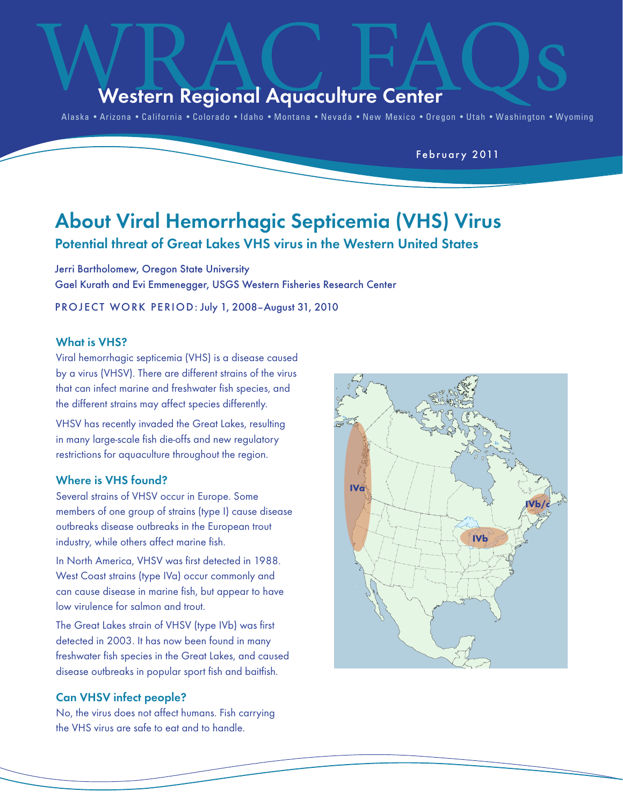## Western Regional Aquaculture Center

Alaska • Arizona • California • Colorado • Idaho • Montana • Nevada • New Mexico • Oregon • Utah • Washington • Wyoming

February 2011

## About Viral Hemorrhagic Septicemia (VHS) Virus

# Potential threat of Great Lakes VHS virus in the Western United States

Jerri Bartholomew, Oregon State University Gael Kurath and Evi Emmenegger, USGS Western Fisheries Research Center

PROJECT WORK PERIOD: July 1, 2008-August 31, 2010

#### What is VHS?

Viral hemorrhagic septicemia (VHS) is a disease caused by a virus (VHSV). There are different strains of the virus that can infect marine and freshwater fish species, and the different strains may affect species differently.

VHSV has recently invaded the Great Lakes, resulting in many large-scale fish die-offs and new regulatory restrictions for aquaculture throughout the region.

#### Where is VHS found?

Several strains of VHSV occur in Europe. Some members of one group of strains (type I) cause disease outbreaks disease outbreaks in the European trout industry, while others affect marine fish.

In North America, VHSV was first detected in 1988. West Coast strains (type IVa) occur commonly and can cause disease in marine fish, but appear to have low virulence for salmon and trout.

The Great Lakes strain of VHSV (type IVb) was first detected in 2003. It has now been found in many freshwater fish species in the Great Lakes, and caused disease outbreaks in popular sport fish and baitfish.

#### Can VHSV infect people?

No, the virus does not affect humans. Fish carrying the VHS virus are safe to eat and to handle.

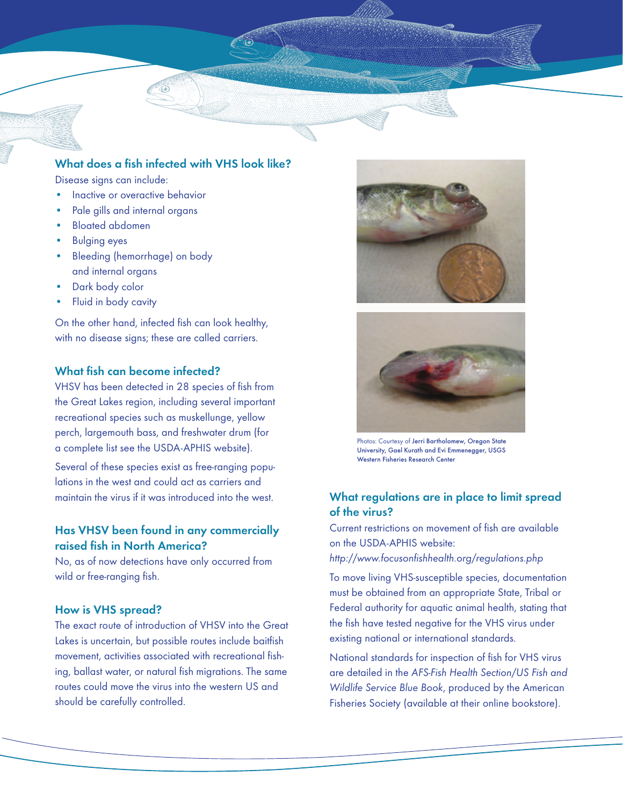

## What does a fish infected with VHS look like?

Disease signs can include:

- Inactive or overactive behavior
- Pale gills and internal organs
- Bloated abdomen
- Bulging eyes
- Bleeding (hemorrhage) on body and internal organs
- Dark body color
- Fluid in body cavity

On the other hand, infected fish can look healthy, with no disease signs; these are called carriers.

## What fish can become infected?

VHSV has been detected in 28 species of fish from the Great Lakes region, including several important recreational species such as muskellunge, yellow perch, largemouth bass, and freshwater drum (for a complete list see the USDA-APHIS website).

Several of these species exist as free-ranging populations in the west and could act as carriers and maintain the virus if it was introduced into the west.

## Has VHSV been found in any commercially raised fish in North America?

No, as of now detections have only occurred from wild or free-ranging fish.

#### How is VHS spread?

The exact route of introduction of VHSV into the Great Lakes is uncertain, but possible routes include baitfish movement, activities associated with recreational fishing, ballast water, or natural fish migrations. The same routes could move the virus into the western US and should be carefully controlled.





Photos: Courtesy of Jerri Bartholomew, Oregon State University, Gael Kurath and Evi Emmenegger, USGS Western Fisheries Research Center

## What regulations are in place to limit spread of the virus?

Current restrictions on movement of fish are available on the USDA-APHIS website:

*http://www.focusonfishhealth.org/regulations.php*

To move living VHS-susceptible species, documentation must be obtained from an appropriate State, Tribal or Federal authority for aquatic animal health, stating that the fish have tested negative for the VHS virus under existing national or international standards.

National standards for inspection of fish for VHS virus are detailed in the *AFS-Fish Health Section/US Fish and Wildlife Service Blue Book*, produced by the American Fisheries Society (available at their online bookstore).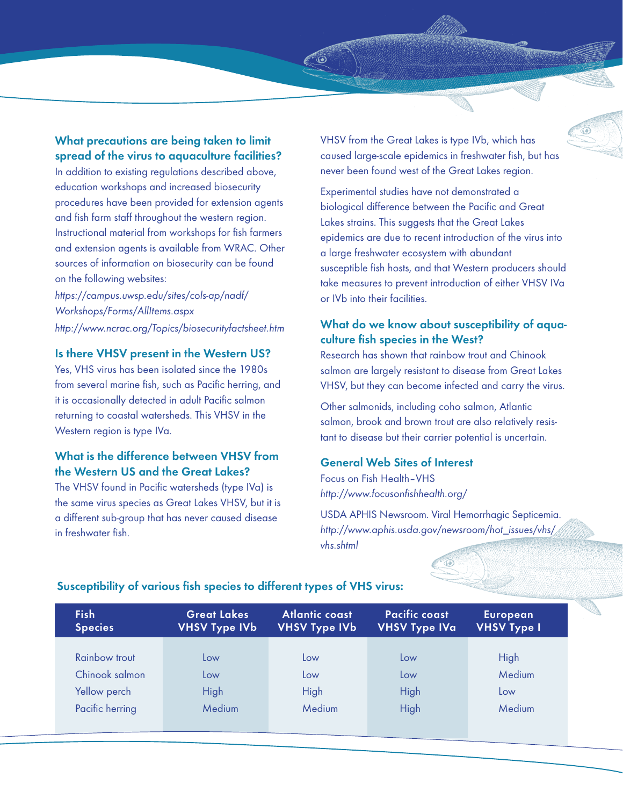What precautions are being taken to limit spread of the virus to aquaculture facilities?

In addition to existing regulations described above, education workshops and increased biosecurity procedures have been provided for extension agents and fish farm staff throughout the western region. Instructional material from workshops for fish farmers and extension agents is available from WRAC. Other sources of information on biosecurity can be found on the following websites:

*https://campus.uwsp.edu/sites/cols-ap/nadf/ Workshops/Forms/AllItems.aspx http://www.ncrac.org/Topics/biosecurityfactsheet.htm*

#### Is there VHSV present in the Western US?

Yes, VHS virus has been isolated since the 1980s from several marine fish, such as Pacific herring, and it is occasionally detected in adult Pacific salmon returning to coastal watersheds. This VHSV in the Western region is type IVa.

## What is the difference between VHSV from the Western US and the Great Lakes?

The VHSV found in Pacific watersheds (type IVa) is the same virus species as Great Lakes VHSV, but it is a different sub-group that has never caused disease in freshwater fish.

VHSV from the Great Lakes is type IVb, which has caused large-scale epidemics in freshwater fish, but has never been found west of the Great Lakes region.

 $\hat{\mathbf{o}}$ 

Experimental studies have not demonstrated a biological difference between the Pacific and Great Lakes strains. This suggests that the Great Lakes epidemics are due to recent introduction of the virus into a large freshwater ecosystem with abundant susceptible fish hosts, and that Western producers should take measures to prevent introduction of either VHSV IVa or IVb into their facilities.

## What do we know about susceptibility of aquaculture fish species in the West?

Research has shown that rainbow trout and Chinook salmon are largely resistant to disease from Great Lakes VHSV, but they can become infected and carry the virus.

Other salmonids, including coho salmon, Atlantic salmon, brook and brown trout are also relatively resistant to disease but their carrier potential is uncertain.

#### General Web Sites of Interest

Focus on Fish Health–VHS *http://www.focusonfishhealth.org/*

USDA APHIS Newsroom. Viral Hemorrhagic Septicemia. *http://www.aphis.usda.gov/newsroom/hot\_issues/vhs/ vhs.shtml*

| <b>Fish</b><br><b>Species</b> | <b>Great Lakes</b><br><b>VHSV Type IVb</b> | Atlantic coast<br><b>VHSV Type IVb</b> | <b>Pacific coast</b><br><b>VHSV Type IVa</b> | <b>European</b><br><b>VHSV Type I</b> |
|-------------------------------|--------------------------------------------|----------------------------------------|----------------------------------------------|---------------------------------------|
|                               |                                            |                                        |                                              |                                       |
| <b>Rainbow trout</b>          | Low                                        | Low                                    | Low                                          | High                                  |
| Chinook salmon                | Low                                        | Low                                    | Low                                          | Medium                                |
| Yellow perch                  | High                                       | High                                   | High                                         | Low                                   |
| Pacific herring               | Medium                                     | Medium                                 | High                                         | Medium                                |
|                               |                                            |                                        |                                              |                                       |

 $\ddot{\odot}$ 

## Susceptibility of various fish species to different types of VHS virus: